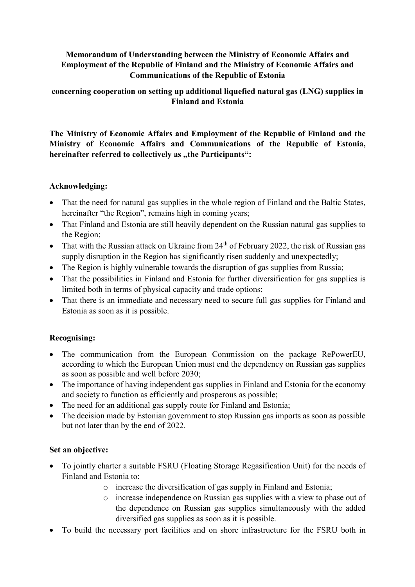# Memorandum of Understanding between the Ministry of Economic Affairs and Employment of the Republic of Finland and the Ministry of Economic Affairs and Communications of the Republic of Estonia

### concerning cooperation on setting up additional liquefied natural gas (LNG) supplies in Finland and Estonia

The Ministry of Economic Affairs and Employment of the Republic of Finland and the Ministry of Economic Affairs and Communications of the Republic of Estonia, hereinafter referred to collectively as "the Participants":

# Acknowledging:

- That the need for natural gas supplies in the whole region of Finland and the Baltic States, hereinafter "the Region", remains high in coming years;
- That Finland and Estonia are still heavily dependent on the Russian natural gas supplies to the Region;
- That with the Russian attack on Ukraine from  $24<sup>th</sup>$  of February 2022, the risk of Russian gas supply disruption in the Region has significantly risen suddenly and unexpectedly;
- The Region is highly vulnerable towards the disruption of gas supplies from Russia;
- That the possibilities in Finland and Estonia for further diversification for gas supplies is limited both in terms of physical capacity and trade options;
- That there is an immediate and necessary need to secure full gas supplies for Finland and Estonia as soon as it is possible.

# Recognising:

- The communication from the European Commission on the package RePowerEU, according to which the European Union must end the dependency on Russian gas supplies as soon as possible and well before 2030;
- The importance of having independent gas supplies in Finland and Estonia for the economy and society to function as efficiently and prosperous as possible;
- The need for an additional gas supply route for Finland and Estonia;
- The decision made by Estonian government to stop Russian gas imports as soon as possible but not later than by the end of 2022.

### Set an objective:

- To jointly charter a suitable FSRU (Floating Storage Regasification Unit) for the needs of Finland and Estonia to:
	- o increase the diversification of gas supply in Finland and Estonia;
	- o increase independence on Russian gas supplies with a view to phase out of the dependence on Russian gas supplies simultaneously with the added diversified gas supplies as soon as it is possible.
- To build the necessary port facilities and on shore infrastructure for the FSRU both in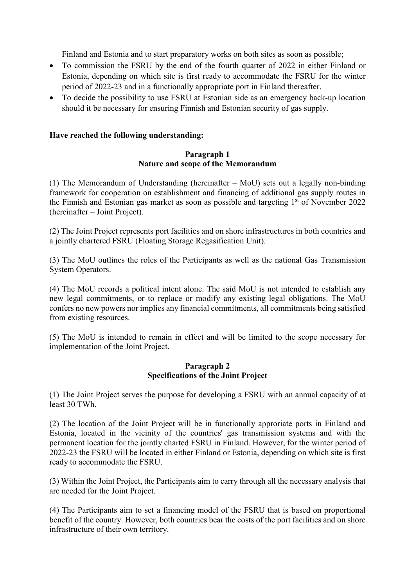Finland and Estonia and to start preparatory works on both sites as soon as possible;

- To commission the FSRU by the end of the fourth quarter of 2022 in either Finland or Estonia, depending on which site is first ready to accommodate the FSRU for the winter period of 2022-23 and in a functionally appropriate port in Finland thereafter.
- To decide the possibility to use FSRU at Estonian side as an emergency back-up location should it be necessary for ensuring Finnish and Estonian security of gas supply.

### Have reached the following understanding:

#### Paragraph 1 Nature and scope of the Memorandum

(1) The Memorandum of Understanding (hereinafter – MoU) sets out a legally non-binding framework for cooperation on establishment and financing of additional gas supply routes in the Finnish and Estonian gas market as soon as possible and targeting  $1<sup>st</sup>$  of November 2022 (hereinafter – Joint Project).

(2) The Joint Project represents port facilities and on shore infrastructures in both countries and a jointly chartered FSRU (Floating Storage Regasification Unit).

(3) The MoU outlines the roles of the Participants as well as the national Gas Transmission System Operators.

(4) The MoU records a political intent alone. The said MoU is not intended to establish any new legal commitments, or to replace or modify any existing legal obligations. The MoU confers no new powers nor implies any financial commitments, all commitments being satisfied from existing resources.

(5) The MoU is intended to remain in effect and will be limited to the scope necessary for implementation of the Joint Project.

### Paragraph 2 Specifications of the Joint Project

(1) The Joint Project serves the purpose for developing a FSRU with an annual capacity of at least 30 TWh.

(2) The location of the Joint Project will be in functionally approriate ports in Finland and Estonia, located in the vicinity of the countries' gas transmission systems and with the permanent location for the jointly charted FSRU in Finland. However, for the winter period of 2022-23 the FSRU will be located in either Finland or Estonia, depending on which site is first ready to accommodate the FSRU.

(3) Within the Joint Project, the Participants aim to carry through all the necessary analysis that are needed for the Joint Project.

(4) The Participants aim to set a financing model of the FSRU that is based on proportional benefit of the country. However, both countries bear the costs of the port facilities and on shore infrastructure of their own territory.